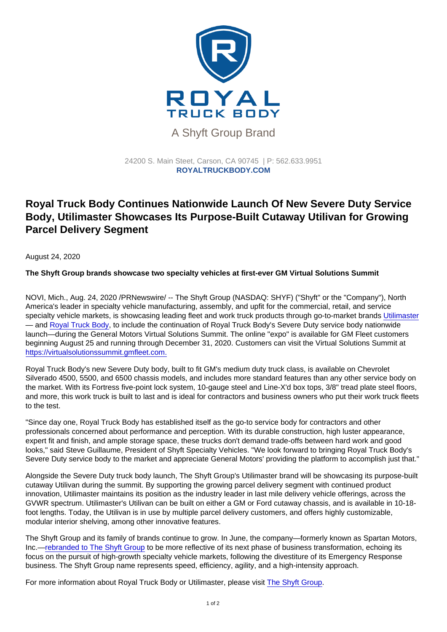## A Shyft Group Brand

24200 S. Main Steet, Carson, CA 90745 | P: [562.633.9951](tel:+15626339951) ROYALTRUCKBODY.COM

## Royal Truck Body Continues Nationwide Launch Of New Severe Duty Service Body, Utilimaster Showcases Its Purpose-Built Cutaway Utilivan for Growing Parcel Delivery Segment

August 24, 2020

The Shyft Group brands showcase two specialty vehicles at first-ever GM Virtual Solutions Summit

NOVI, Mich., Aug. 24, 2020 /PRNewswire/ -- The Shyft Group (NASDAQ: SHYF) ("Shyft" or the "Company"), North America's leader in specialty vehicle manufacturing, assembly, and upfit for the commercial, retail, and service specialty vehicle markets, is showcasing leading fleet and work truck products through go-to-market brands [Utilimaster](https://c212.net/c/link/?t=0&l=en&o=2895475-1&h=3089313251&u=https://www.utilimaster.com/&a=Utilimaster) — and [Royal Truck Body](https://c212.net/c/link/?t=0&l=en&o=2895475-1&h=1141901461&u=https://royaltruckbody.com/&a=Royal+Truck+Body), to include the continuation of Royal Truck Body's Severe Duty service body nationwide launch—during the General Motors Virtual Solutions Summit. The online "expo" is available for GM Fleet customers beginning August 25 and running through December 31, 2020. Customers can visit the Virtual Solutions Summit at [https://virtualsolutionssummit.gmfleet.com.](https://c212.net/c/link/?t=0&l=en&o=2895475-1&h=2795441962&u=https://virtualsolutionssummit.gmfleet.com/&a=https://virtualsolutionssummit.gmfleet.com.)

Royal Truck Body's new Severe Duty body, built to fit GM's medium duty truck class, is available on Chevrolet Silverado 4500, 5500, and 6500 chassis models, and includes more standard features than any other service body on the market. With its Fortress five-point lock system, 10-gauge steel and Line-X'd box tops, 3/8" tread plate steel floors, and more, this work truck is built to last and is ideal for contractors and business owners who put their work truck fleets to the test.

"Since day one, Royal Truck Body has established itself as the go-to service body for contractors and other professionals concerned about performance and perception. With its durable construction, high luster appearance, expert fit and finish, and ample storage space, these trucks don't demand trade-offs between hard work and good looks," said Steve Guillaume, President of Shyft Specialty Vehicles. "We look forward to bringing Royal Truck Body's Severe Duty service body to the market and appreciate General Motors' providing the platform to accomplish just that."

Alongside the Severe Duty truck body launch, The Shyft Group's Utilimaster brand will be showcasing its purpose-built cutaway Utilivan during the summit. By supporting the growing parcel delivery segment with continued product innovation, Utilimaster maintains its position as the industry leader in last mile delivery vehicle offerings, across the GVWR spectrum. Utilimaster's Utilivan can be built on either a GM or Ford cutaway chassis, and is available in 10-18 foot lengths. Today, the Utilivan is in use by multiple parcel delivery customers, and offers highly customizable, modular interior shelving, among other innovative features.

The Shyft Group and its family of brands continue to grow. In June, the company—formerly known as Spartan Motors, Inc.[—rebranded to The Shyft Group](https://c212.net/c/link/?t=0&l=en&o=2895475-1&h=1076851474&u=https://theshyftgroup.com/press-releases/spartan-motors-announces-new-corporate-name-the-shyft-group-2/&a=rebranded+to+The+Shyft+Group) to be more reflective of its next phase of business transformation, echoing its focus on the pursuit of high-growth specialty vehicle markets, following the divestiture of its Emergency Response business. The Shyft Group name represents speed, efficiency, agility, and a high-intensity approach.

For more information about Royal Truck Body or Utilimaster, please visit [The Shyft Group](https://c212.net/c/link/?t=0&l=en&o=2895475-1&h=1606952169&u=https://theshyftgroup.com/&a=The+Shyft+Group).